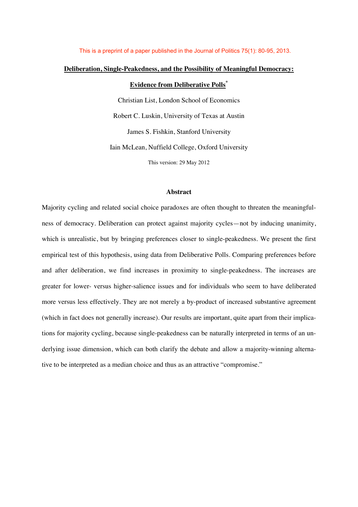#### This is a preprint of a paper published in the Journal of Politics 75(1): 80-95, 2013.

#### **Deliberation, Single-Peakedness, and the Possibility of Meaningful Democracy:**

## **Evidence from Deliberative Polls\***

Christian List, London School of Economics Robert C. Luskin, University of Texas at Austin James S. Fishkin, Stanford University Iain McLean, Nuffield College, Oxford University

This version: 29 May 2012

## **Abstract**

Majority cycling and related social choice paradoxes are often thought to threaten the meaningfulness of democracy. Deliberation can protect against majority cycles—not by inducing unanimity, which is unrealistic, but by bringing preferences closer to single-peakedness. We present the first empirical test of this hypothesis, using data from Deliberative Polls. Comparing preferences before and after deliberation, we find increases in proximity to single-peakedness. The increases are greater for lower- versus higher-salience issues and for individuals who seem to have deliberated more versus less effectively. They are not merely a by-product of increased substantive agreement (which in fact does not generally increase). Our results are important, quite apart from their implications for majority cycling, because single-peakedness can be naturally interpreted in terms of an underlying issue dimension, which can both clarify the debate and allow a majority-winning alternative to be interpreted as a median choice and thus as an attractive "compromise."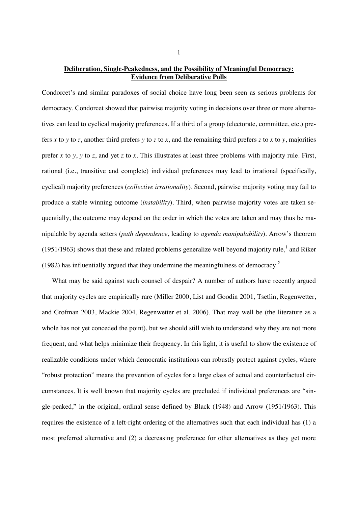# **Deliberation, Single-Peakedness, and the Possibility of Meaningful Democracy: Evidence from Deliberative Polls**

Condorcet's and similar paradoxes of social choice have long been seen as serious problems for democracy. Condorcet showed that pairwise majority voting in decisions over three or more alternatives can lead to cyclical majority preferences. If a third of a group (electorate, committee, etc.) prefers *x* to *y* to *z*, another third prefers *y* to *z* to *x*, and the remaining third prefers *z* to *x* to *y*, majorities prefer *x* to *y*, *y* to *z*, and yet *z* to *x*. This illustrates at least three problems with majority rule. First, rational (i.e., transitive and complete) individual preferences may lead to irrational (specifically, cyclical) majority preferences (*collective irrationality*). Second, pairwise majority voting may fail to produce a stable winning outcome (*instability*). Third, when pairwise majority votes are taken sequentially, the outcome may depend on the order in which the votes are taken and may thus be manipulable by agenda setters (*path dependence*, leading to *agenda manipulability*). Arrow's theorem (1951/1963) shows that these and related problems generalize well beyond majority rule,  $\frac{1}{1}$  and Riker (1982) has influentially argued that they undermine the meaningfulness of democracy.<sup>2</sup>

What may be said against such counsel of despair? A number of authors have recently argued that majority cycles are empirically rare (Miller 2000, List and Goodin 2001, Tsetlin, Regenwetter, and Grofman 2003, Mackie 2004, Regenwetter et al. 2006). That may well be (the literature as a whole has not yet conceded the point), but we should still wish to understand why they are not more frequent, and what helps minimize their frequency. In this light, it is useful to show the existence of realizable conditions under which democratic institutions can robustly protect against cycles, where "robust protection" means the prevention of cycles for a large class of actual and counterfactual circumstances. It is well known that majority cycles are precluded if individual preferences are "single-peaked," in the original, ordinal sense defined by Black (1948) and Arrow (1951/1963). This requires the existence of a left-right ordering of the alternatives such that each individual has (1) a most preferred alternative and (2) a decreasing preference for other alternatives as they get more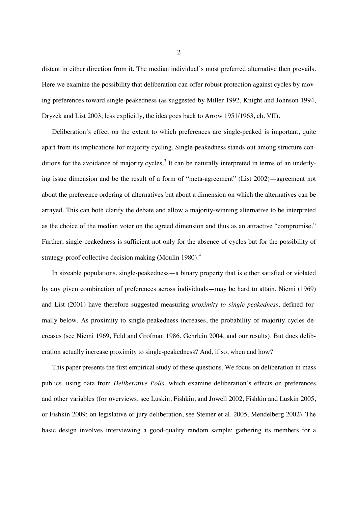distant in either direction from it. The median individual's most preferred alternative then prevails. Here we examine the possibility that deliberation can offer robust protection against cycles by moving preferences toward single-peakedness (as suggested by Miller 1992, Knight and Johnson 1994, Dryzek and List 2003; less explicitly, the idea goes back to Arrow 1951/1963, ch. VII).

Deliberation's effect on the extent to which preferences are single-peaked is important, quite apart from its implications for majority cycling. Single-peakedness stands out among structure conditions for the avoidance of majority cycles.<sup>3</sup> It can be naturally interpreted in terms of an underlying issue dimension and be the result of a form of "meta-agreement" (List 2002)—agreement not about the preference ordering of alternatives but about a dimension on which the alternatives can be arrayed. This can both clarify the debate and allow a majority-winning alternative to be interpreted as the choice of the median voter on the agreed dimension and thus as an attractive "compromise." Further, single-peakedness is sufficient not only for the absence of cycles but for the possibility of strategy-proof collective decision making (Moulin 1980).<sup>4</sup>

In sizeable populations, single-peakedness—a binary property that is either satisfied or violated by any given combination of preferences across individuals—may be hard to attain. Niemi (1969) and List (2001) have therefore suggested measuring *proximity to single-peakedness*, defined formally below. As proximity to single-peakedness increases, the probability of majority cycles decreases (see Niemi 1969, Feld and Grofman 1986, Gehrlein 2004, and our results). But does deliberation actually increase proximity to single-peakedness? And, if so, when and how?

This paper presents the first empirical study of these questions. We focus on deliberation in mass publics, using data from *Deliberative Polls*, which examine deliberation's effects on preferences and other variables (for overviews, see Luskin, Fishkin, and Jowell 2002, Fishkin and Luskin 2005, or Fishkin 2009; on legislative or jury deliberation, see Steiner et al. 2005, Mendelberg 2002). The basic design involves interviewing a good-quality random sample; gathering its members for a

2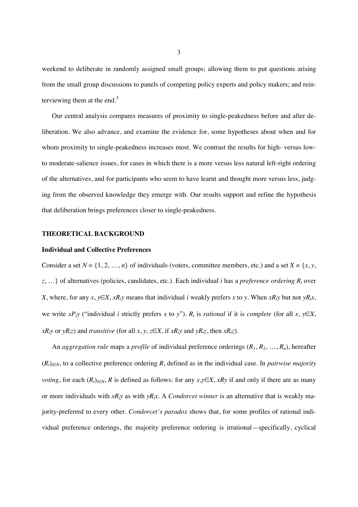weekend to deliberate in randomly assigned small groups; allowing them to put questions arising from the small group discussions to panels of competing policy experts and policy makers; and reinterviewing them at the end.<sup>5</sup>

Our central analysis compares measures of proximity to single-peakedness before and after deliberation. We also advance, and examine the evidence for, some hypotheses about when and for whom proximity to single-peakedness increases most. We contrast the results for high- versus lowto moderate-salience issues, for cases in which there is a more versus less natural left-right ordering of the alternatives, and for participants who seem to have learnt and thought more versus less, judging from the observed knowledge they emerge with. Our results support and refine the hypothesis that deliberation brings preferences closer to single-peakedness.

# **THEORETICAL BACKGROUND**

#### **Individual and Collective Preferences**

Consider a set  $N = \{1, 2, ..., n\}$  of individuals (voters, committee members, etc.) and a set  $X = \{x, y,$ *z*, …} of alternatives (policies, candidates, etc.). Each individual *i* has a *preference ordering Ri* over *X*, where, for any *x*,  $y \in X$ ,  $xR_i y$  means that individual *i* weakly prefers *x* to *y*. When  $xR_i y$  but not  $yR_i x$ , we write  $xP_iy$  ("individual *i* strictly prefers *x* to *y*").  $R_i$  is *rational* if it is *complete* (for all  $x, y \in X$ ,  $xR_iy$  or  $yR_iz$ ) and *transitive* (for all *x*, *y*,  $z \in X$ , if  $xR_iy$  and  $yR_iz$ , then  $xR_iz$ ).

An *aggregation rule* maps a *profile* of individual preference orderings  $(R_1, R_2, \ldots, R_n)$ , hereafter (*Ri*)*<sup>i</sup>*∈*<sup>N</sup>*, to a collective preference ordering *R*, defined as in the individual case. In *pairwise majority voting*, for each  $(R_i)_{i \in N}$ , *R* is defined as follows: for any *x*,*y*∈*X*, *xRy* if and only if there are as many or more individuals with *xRiy* as with *yRix*. A *Condorcet winner* is an alternative that is weakly majority-preferred to every other. *Condorcet's paradox* shows that, for some profiles of rational individual preference orderings, the majority preference ordering is irrational—specifically, cyclical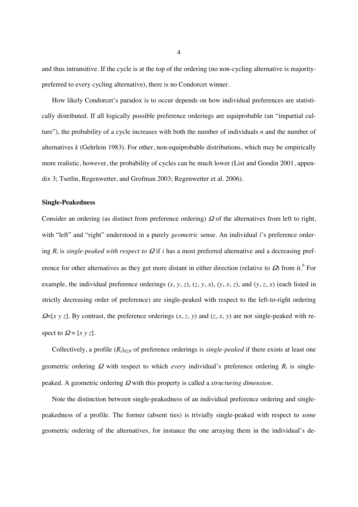and thus intransitive. If the cycle is at the top of the ordering (no non-cycling alternative is majoritypreferred to every cycling alternative), there is no Condorcet winner.

How likely Condorcet's paradox is to occur depends on how individual preferences are statistically distributed. If all logically possible preference orderings are equiprobable (an "impartial culture"), the probability of a cycle increases with both the number of individuals *n* and the number of alternatives *k* (Gehrlein 1983). For other, non-equiprobable distributions, which may be empirically more realistic, however, the probability of cycles can be much lower (List and Goodin 2001, appendix 3; Tsetlin, Regenwetter, and Grofman 2003; Regenwetter et al. 2006).

#### **Single-Peakedness**

Consider an ordering (as distinct from preference ordering)  $\Omega$  of the alternatives from left to right, with "left" and "right" understood in a purely *geometric* sense. An individual *i*'s preference ordering *Ri* is *single-peaked with respect to* Ω if *i* has a most preferred alternative and a decreasing preference for other alternatives as they get more distant in either direction (relative to  $\Omega$ ) from it.<sup>6</sup> For example, the individual preference orderings  $(x, y, z)$ ,  $(z, y, x)$ ,  $(y, x, z)$ , and  $(y, z, x)$  (each listed in strictly decreasing order of preference) are single-peaked with respect to the left-to-right ordering  $\Omega = [x \, y \, z]$ . By contrast, the preference orderings  $(x, z, y)$  and  $(z, x, y)$  are not single-peaked with respect to  $Q = [x \, y \, z].$ 

Collectively, a profile  $(R_i)_{i\in\mathbb{N}}$  of preference orderings is *single-peaked* if there exists at least one geometric ordering <sup>Ω</sup> with respect to which *every* individual's preference ordering *Ri* is singlepeaked. A geometric ordering <sup>Ω</sup> with this property is called a *structuring dimension*.

Note the distinction between single-peakedness of an individual preference ordering and singlepeakedness of a profile. The former (absent ties) is trivially single-peaked with respect to *some* geometric ordering of the alternatives, for instance the one arraying them in the individual's de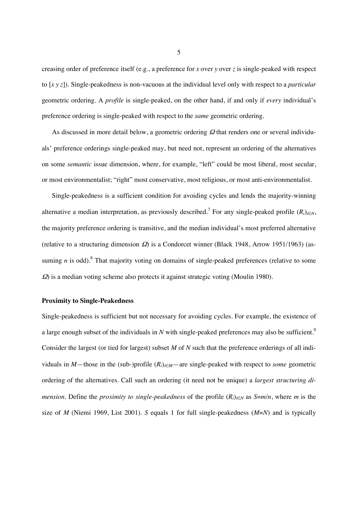creasing order of preference itself (e.g., a preference for *x* over *y* over *z* is single-peaked with respect to [*x y z*]). Single-peakedness is non-vacuous at the individual level only with respect to a *particular* geometric ordering. A *profile* is single-peaked, on the other hand, if and only if *every* individual's preference ordering is single-peaked with respect to the *same* geometric ordering.

As discussed in more detail below, a geometric ordering  $\Omega$  that renders one or several individuals' preference orderings single-peaked may, but need not, represent an ordering of the alternatives on some *semantic* issue dimension, where, for example, "left" could be most liberal, most secular, or most environmentalist; "right" most conservative, most religious, or most anti-environmentalist.

Single-peakedness is a sufficient condition for avoiding cycles and lends the majority-winning alternative a median interpretation, as previously described.<sup>7</sup> For any single-peaked profile  $(R_i)_{i \in N}$ , the majority preference ordering is transitive, and the median individual's most preferred alternative (relative to a structuring dimension  $\Omega$ ) is a Condorcet winner (Black 1948, Arrow 1951/1963) (assuming *n* is odd).<sup>8</sup> That majority voting on domains of single-peaked preferences (relative to some  $\Omega$ ) is a median voting scheme also protects it against strategic voting (Moulin 1980).

## **Proximity to Single-Peakedness**

Single-peakedness is sufficient but not necessary for avoiding cycles. For example, the existence of a large enough subset of the individuals in *N* with single-peaked preferences may also be sufficient.<sup>9</sup> Consider the largest (or tied for largest) subset *M* of *N* such that the preference orderings of all individuals in *M*—those in the (sub-)profile  $(R_i)_{i \in M}$ —are single-peaked with respect to *some* geometric ordering of the alternatives. Call such an ordering (it need not be unique) a *largest structuring dimension*. Define the *proximity to single-peakedness* of the profile  $(R_i)_{i \in N}$  as  $S=m/n$ , where *m* is the size of *M* (Niemi 1969, List 2001). *S* equals 1 for full single-peakedness (*M*=*N*) and is typically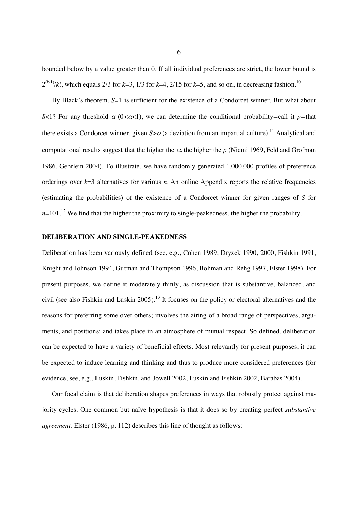bounded below by a value greater than 0. If all individual preferences are strict, the lower bound is  $2^{(k-1)}/k!$ , which equals 2/3 for  $k=3$ , 1/3 for  $k=4$ , 2/15 for  $k=5$ , and so on, in decreasing fashion.<sup>10</sup>

By Black's theorem, *S*=1 is sufficient for the existence of a Condorcet winner. But what about *S*<1? For any threshold  $\alpha$  (0< $\alpha$ <1), we can determine the conditional probability–call it *p*—that there exists a Condorcet winner, given  $S \rightarrow \alpha$  (a deviation from an impartial culture).<sup>11</sup> Analytical and computational results suggest that the higher the  $\alpha$ , the higher the *p* (Niemi 1969, Feld and Grofman 1986, Gehrlein 2004). To illustrate, we have randomly generated 1,000,000 profiles of preference orderings over *k*=3 alternatives for various *n*. An online Appendix reports the relative frequencies (estimating the probabilities) of the existence of a Condorcet winner for given ranges of *S* for  $n=101$ <sup>12</sup> We find that the higher the proximity to single-peakedness, the higher the probability.

## **DELIBERATION AND SINGLE-PEAKEDNESS**

Deliberation has been variously defined (see, e.g., Cohen 1989, Dryzek 1990, 2000, Fishkin 1991, Knight and Johnson 1994, Gutman and Thompson 1996, Bohman and Rehg 1997, Elster 1998). For present purposes, we define it moderately thinly, as discussion that is substantive, balanced, and civil (see also Fishkin and Luskin 2005).<sup>13</sup> It focuses on the policy or electoral alternatives and the reasons for preferring some over others; involves the airing of a broad range of perspectives, arguments, and positions; and takes place in an atmosphere of mutual respect. So defined, deliberation can be expected to have a variety of beneficial effects. Most relevantly for present purposes, it can be expected to induce learning and thinking and thus to produce more considered preferences (for evidence, see, e.g., Luskin, Fishkin, and Jowell 2002, Luskin and Fishkin 2002, Barabas 2004).

Our focal claim is that deliberation shapes preferences in ways that robustly protect against majority cycles. One common but naïve hypothesis is that it does so by creating perfect *substantive agreement*. Elster (1986, p. 112) describes this line of thought as follows: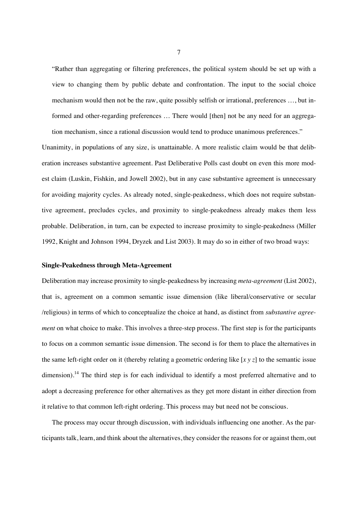"Rather than aggregating or filtering preferences, the political system should be set up with a view to changing them by public debate and confrontation. The input to the social choice mechanism would then not be the raw, quite possibly selfish or irrational, preferences …, but informed and other-regarding preferences … There would [then] not be any need for an aggregation mechanism, since a rational discussion would tend to produce unanimous preferences."

Unanimity, in populations of any size, is unattainable. A more realistic claim would be that deliberation increases substantive agreement. Past Deliberative Polls cast doubt on even this more modest claim (Luskin, Fishkin, and Jowell 2002), but in any case substantive agreement is unnecessary for avoiding majority cycles. As already noted, single-peakedness, which does not require substantive agreement, precludes cycles, and proximity to single-peakedness already makes them less probable. Deliberation, in turn, can be expected to increase proximity to single-peakedness (Miller 1992, Knight and Johnson 1994, Dryzek and List 2003). It may do so in either of two broad ways:

#### **Single-Peakedness through Meta-Agreement**

Deliberation may increase proximity to single-peakedness by increasing *meta-agreement* (List 2002), that is, agreement on a common semantic issue dimension (like liberal/conservative or secular /religious) in terms of which to conceptualize the choice at hand, as distinct from *substantive agreement* on what choice to make. This involves a three-step process. The first step is for the participants to focus on a common semantic issue dimension. The second is for them to place the alternatives in the same left-right order on it (thereby relating a geometric ordering like  $[x \, y \, z]$  to the semantic issue dimension).<sup>14</sup> The third step is for each individual to identify a most preferred alternative and to adopt a decreasing preference for other alternatives as they get more distant in either direction from it relative to that common left-right ordering. This process may but need not be conscious.

The process may occur through discussion, with individuals influencing one another. As the participants talk, learn, and think about the alternatives, they consider the reasons for or against them, out

7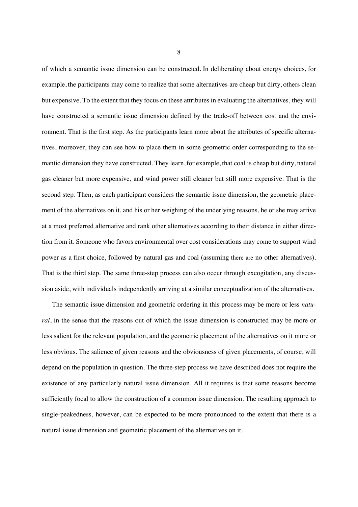of which a semantic issue dimension can be constructed. In deliberating about energy choices, for example, the participants may come to realize that some alternatives are cheap but dirty, others clean but expensive. To the extent that they focus on these attributes in evaluating the alternatives, they will have constructed a semantic issue dimension defined by the trade-off between cost and the environment. That is the first step. As the participants learn more about the attributes of specific alternatives, moreover, they can see how to place them in some geometric order corresponding to the semantic dimension they have constructed. They learn, for example, that coal is cheap but dirty, natural gas cleaner but more expensive, and wind power still cleaner but still more expensive. That is the second step. Then, as each participant considers the semantic issue dimension, the geometric placement of the alternatives on it, and his or her weighing of the underlying reasons, he or she may arrive at a most preferred alternative and rank other alternatives according to their distance in either direction from it. Someone who favors environmental over cost considerations may come to support wind power as a first choice, followed by natural gas and coal (assuming there are no other alternatives). That is the third step. The same three-step process can also occur through excogitation, any discussion aside, with individuals independently arriving at a similar conceptualization of the alternatives.

The semantic issue dimension and geometric ordering in this process may be more or less *natural*, in the sense that the reasons out of which the issue dimension is constructed may be more or less salient for the relevant population, and the geometric placement of the alternatives on it more or less obvious. The salience of given reasons and the obviousness of given placements, of course, will depend on the population in question. The three-step process we have described does not require the existence of any particularly natural issue dimension. All it requires is that some reasons become sufficiently focal to allow the construction of a common issue dimension. The resulting approach to single-peakedness, however, can be expected to be more pronounced to the extent that there is a natural issue dimension and geometric placement of the alternatives on it.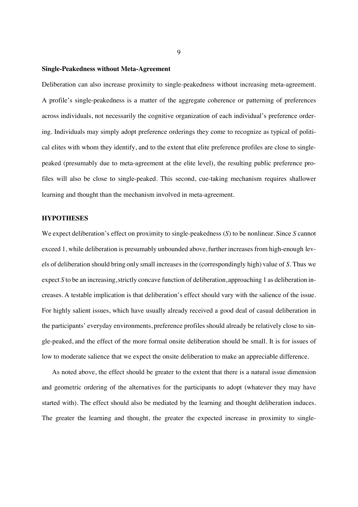#### **Single-Peakedness without Meta-Agreement**

Deliberation can also increase proximity to single-peakedness without increasing meta-agreement. A profile's single-peakedness is a matter of the aggregate coherence or patterning of preferences across individuals, not necessarily the cognitive organization of each individual's preference ordering. Individuals may simply adopt preference orderings they come to recognize as typical of political elites with whom they identify, and to the extent that elite preference profiles are close to singlepeaked (presumably due to meta-agreement at the elite level), the resulting public preference profiles will also be close to single-peaked. This second, cue-taking mechanism requires shallower learning and thought than the mechanism involved in meta-agreement.

## **HYPOTHESES**

We expect deliberation's effect on proximity to single-peakedness (*S*) to be nonlinear. Since *S* cannot exceed 1, while deliberation is presumably unbounded above,further increases from high-enough levels of deliberation should bring only small increases in the (correspondingly high) value of *S*. Thus we expect *S* to be an increasing, strictly concave function of deliberation, approaching 1 as deliberation increases. A testable implication is that deliberation's effect should vary with the salience of the issue. For highly salient issues, which have usually already received a good deal of casual deliberation in the participants' everyday environments, preference profiles should already be relatively close to single-peaked, and the effect of the more formal onsite deliberation should be small. It is for issues of low to moderate salience that we expect the onsite deliberation to make an appreciable difference.

As noted above, the effect should be greater to the extent that there is a natural issue dimension and geometric ordering of the alternatives for the participants to adopt (whatever they may have started with). The effect should also be mediated by the learning and thought deliberation induces. The greater the learning and thought, the greater the expected increase in proximity to single-

9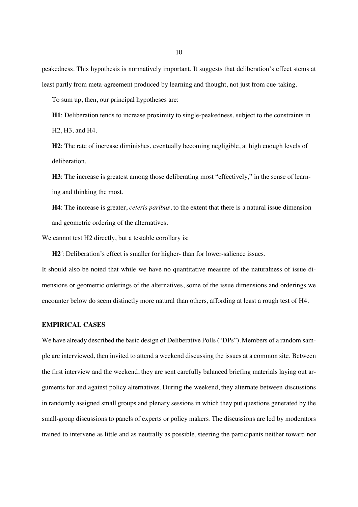peakedness. This hypothesis is normatively important. It suggests that deliberation's effect stems at least partly from meta-agreement produced by learning and thought, not just from cue-taking.

To sum up, then, our principal hypotheses are:

**H1**: Deliberation tends to increase proximity to single-peakedness, subject to the constraints in H2, H3, and H4.

**H2**: The rate of increase diminishes, eventually becoming negligible, at high enough levels of deliberation.

**H3**: The increase is greatest among those deliberating most "effectively," in the sense of learning and thinking the most.

**H4**: The increase is greater, *ceteris paribus*, to the extent that there is a natural issue dimension and geometric ordering of the alternatives.

We cannot test H2 directly, but a testable corollary is:

**H2**′: Deliberation's effect is smaller for higher- than for lower-salience issues.

It should also be noted that while we have no quantitative measure of the naturalness of issue dimensions or geometric orderings of the alternatives, some of the issue dimensions and orderings we encounter below do seem distinctly more natural than others, affording at least a rough test of H4.

#### **EMPIRICAL CASES**

We have already described the basic design of Deliberative Polls ("DPs"). Members of a random sample are interviewed, then invited to attend a weekend discussing the issues at a common site. Between the first interview and the weekend, they are sent carefully balanced briefing materials laying out arguments for and against policy alternatives. During the weekend, they alternate between discussions in randomly assigned small groups and plenary sessions in which they put questions generated by the small-group discussions to panels of experts or policy makers. The discussions are led by moderators trained to intervene as little and as neutrally as possible, steering the participants neither toward nor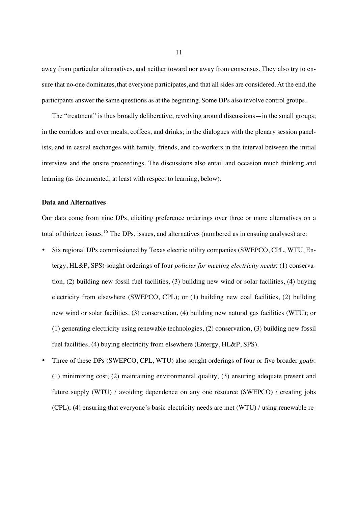away from particular alternatives, and neither toward nor away from consensus. They also try to ensure that no-one dominates, that everyone participates, and that all sides are considered. At the end, the participants answer the same questions as at the beginning. Some DPs also involve control groups.

The "treatment" is thus broadly deliberative, revolving around discussions—in the small groups; in the corridors and over meals, coffees, and drinks; in the dialogues with the plenary session panelists; and in casual exchanges with family, friends, and co-workers in the interval between the initial interview and the onsite proceedings. The discussions also entail and occasion much thinking and learning (as documented, at least with respect to learning, below).

## **Data and Alternatives**

Our data come from nine DPs, eliciting preference orderings over three or more alternatives on a total of thirteen issues.<sup>15</sup> The DPs, issues, and alternatives (numbered as in ensuing analyses) are:

- Six regional DPs commissioned by Texas electric utility companies (SWEPCO, CPL, WTU, Entergy, HL&P, SPS) sought orderings of four *policies for meeting electricity needs*: (1) conservation, (2) building new fossil fuel facilities, (3) building new wind or solar facilities, (4) buying electricity from elsewhere (SWEPCO, CPL); or (1) building new coal facilities, (2) building new wind or solar facilities, (3) conservation, (4) building new natural gas facilities (WTU); or (1) generating electricity using renewable technologies, (2) conservation, (3) building new fossil fuel facilities, (4) buying electricity from elsewhere (Entergy, HL&P, SPS).
- Three of these DPs (SWEPCO, CPL, WTU) also sought orderings of four or five broader *goals*: (1) minimizing cost; (2) maintaining environmental quality; (3) ensuring adequate present and future supply (WTU) / avoiding dependence on any one resource (SWEPCO) / creating jobs (CPL); (4) ensuring that everyone's basic electricity needs are met (WTU) / using renewable re-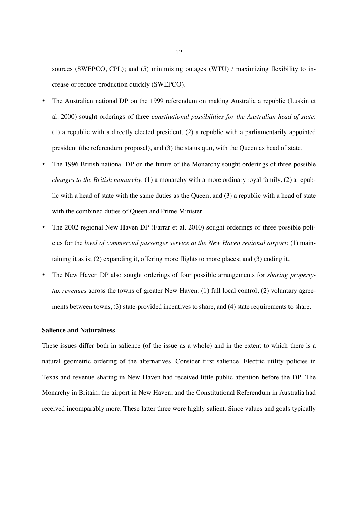sources (SWEPCO, CPL); and (5) minimizing outages (WTU) / maximizing flexibility to increase or reduce production quickly (SWEPCO).

- The Australian national DP on the 1999 referendum on making Australia a republic (Luskin et al. 2000) sought orderings of three *constitutional possibilities for the Australian head of state*: (1) a republic with a directly elected president, (2) a republic with a parliamentarily appointed president (the referendum proposal), and (3) the status quo, with the Queen as head of state.
- The 1996 British national DP on the future of the Monarchy sought orderings of three possible *changes to the British monarchy*: (1) a monarchy with a more ordinary royal family, (2) a republic with a head of state with the same duties as the Queen, and (3) a republic with a head of state with the combined duties of Queen and Prime Minister.
- The 2002 regional New Haven DP (Farrar et al. 2010) sought orderings of three possible policies for the *level of commercial passenger service at the New Haven regional airport*: (1) maintaining it as is; (2) expanding it, offering more flights to more places; and (3) ending it.
- The New Haven DP also sought orderings of four possible arrangements for *sharing propertytax revenues* across the towns of greater New Haven: (1) full local control, (2) voluntary agreements between towns, (3) state-provided incentives to share, and (4) state requirements to share.

## **Salience and Naturalness**

These issues differ both in salience (of the issue as a whole) and in the extent to which there is a natural geometric ordering of the alternatives. Consider first salience. Electric utility policies in Texas and revenue sharing in New Haven had received little public attention before the DP. The Monarchy in Britain, the airport in New Haven, and the Constitutional Referendum in Australia had received incomparably more. These latter three were highly salient. Since values and goals typically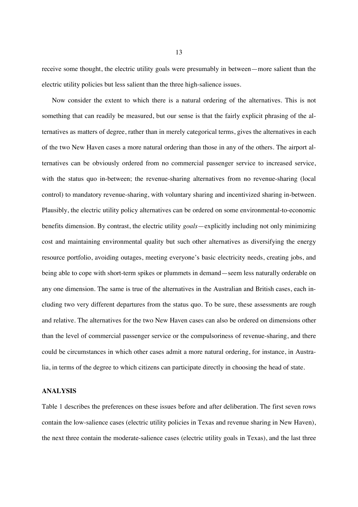receive some thought, the electric utility goals were presumably in between—more salient than the electric utility policies but less salient than the three high-salience issues.

Now consider the extent to which there is a natural ordering of the alternatives. This is not something that can readily be measured, but our sense is that the fairly explicit phrasing of the alternatives as matters of degree, rather than in merely categorical terms, gives the alternatives in each of the two New Haven cases a more natural ordering than those in any of the others. The airport alternatives can be obviously ordered from no commercial passenger service to increased service, with the status quo in-between; the revenue-sharing alternatives from no revenue-sharing (local control) to mandatory revenue-sharing, with voluntary sharing and incentivized sharing in-between. Plausibly, the electric utility policy alternatives can be ordered on some environmental-to-economic benefits dimension. By contrast, the electric utility *goals*—explicitly including not only minimizing cost and maintaining environmental quality but such other alternatives as diversifying the energy resource portfolio, avoiding outages, meeting everyone's basic electricity needs, creating jobs, and being able to cope with short-term spikes or plummets in demand—seem less naturally orderable on any one dimension. The same is true of the alternatives in the Australian and British cases, each including two very different departures from the status quo. To be sure, these assessments are rough and relative. The alternatives for the two New Haven cases can also be ordered on dimensions other than the level of commercial passenger service or the compulsoriness of revenue-sharing, and there could be circumstances in which other cases admit a more natural ordering, for instance, in Australia, in terms of the degree to which citizens can participate directly in choosing the head of state.

## **ANALYSIS**

Table 1 describes the preferences on these issues before and after deliberation. The first seven rows contain the low-salience cases (electric utility policies in Texas and revenue sharing in New Haven), the next three contain the moderate-salience cases (electric utility goals in Texas), and the last three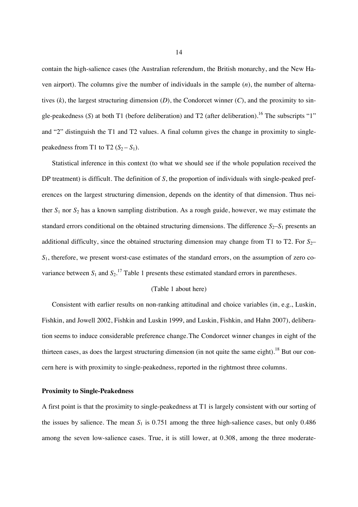contain the high-salience cases (the Australian referendum, the British monarchy, and the New Haven airport). The columns give the number of individuals in the sample (*n*), the number of alternatives  $(k)$ , the largest structuring dimension  $(D)$ , the Condorcet winner  $(C)$ , and the proximity to single-peakedness (*S*) at both T1 (before deliberation) and T2 (after deliberation).<sup>16</sup> The subscripts "1" and "2" distinguish the T1 and T2 values. A final column gives the change in proximity to singlepeakedness from T1 to T2  $(S_2 - S_1)$ .

Statistical inference in this context (to what we should see if the whole population received the DP treatment) is difficult. The definition of *S*, the proportion of individuals with single-peaked preferences on the largest structuring dimension, depends on the identity of that dimension. Thus neither  $S_1$  nor  $S_2$  has a known sampling distribution. As a rough guide, however, we may estimate the standard errors conditional on the obtained structuring dimensions. The difference  $S_2-S_1$  presents an additional difficulty, since the obtained structuring dimension may change from T1 to T2. For  $S_2$ – *S*1, therefore, we present worst-case estimates of the standard errors, on the assumption of zero covariance between  $S_1$  and  $S_2$ <sup>17</sup> Table 1 presents these estimated standard errors in parentheses.

#### (Table 1 about here)

Consistent with earlier results on non-ranking attitudinal and choice variables (in, e.g., Luskin, Fishkin, and Jowell 2002, Fishkin and Luskin 1999, and Luskin, Fishkin, and Hahn 2007), deliberation seems to induce considerable preference change.The Condorcet winner changes in eight of the thirteen cases, as does the largest structuring dimension (in not quite the same eight).<sup>18</sup> But our concern here is with proximity to single-peakedness, reported in the rightmost three columns.

#### **Proximity to Single-Peakedness**

A first point is that the proximity to single-peakedness at T1 is largely consistent with our sorting of the issues by salience. The mean  $S_1$  is 0.751 among the three high-salience cases, but only 0.486 among the seven low-salience cases. True, it is still lower, at 0.308, among the three moderate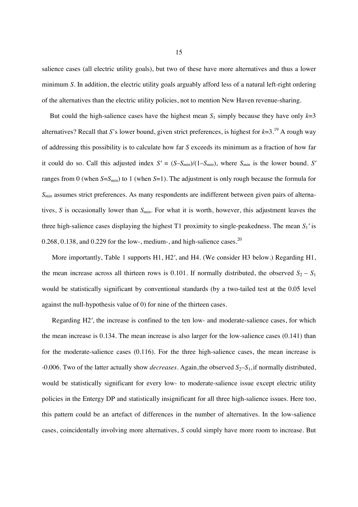salience cases (all electric utility goals), but two of these have more alternatives and thus a lower minimum *S*. In addition, the electric utility goals arguably afford less of a natural left-right ordering of the alternatives than the electric utility policies, not to mention New Haven revenue-sharing.

But could the high-salience cases have the highest mean  $S_1$  simply because they have only  $k=3$ alternatives? Recall that *S*'s lower bound, given strict preferences, is highest for *k*=3.19 A rough way of addressing this possibility is to calculate how far *S* exceeds its minimum as a fraction of how far it could do so. Call this adjusted index  $S' = (S-S_{min})/(1-S_{min})$ , where  $S_{min}$  is the lower bound. *S'* ranges from 0 (when *S*=*Smin*) to 1 (when *S*=1). The adjustment is only rough because the formula for *Smin* assumes strict preferences. As many respondents are indifferent between given pairs of alternatives, *S* is occasionally lower than *Smin*. For what it is worth, however, this adjustment leaves the three high-salience cases displaying the highest  $T1$  proximity to single-peakedness. The mean  $S_1$ ' is  $0.268$ ,  $0.138$ , and  $0.229$  for the low-, medium-, and high-salience cases.<sup>20</sup>

More importantly, Table 1 supports H1, H2′, and H4. (We consider H3 below.) Regarding H1, the mean increase across all thirteen rows is 0.101. If normally distributed, the observed  $S_2 - S_1$ would be statistically significant by conventional standards (by a two-tailed test at the 0.05 level against the null-hypothesis value of 0) for nine of the thirteen cases.

Regarding H2′, the increase is confined to the ten low- and moderate-salience cases, for which the mean increase is 0.134. The mean increase is also larger for the low-salience cases (0.141) than for the moderate-salience cases (0.116). For the three high-salience cases, the mean increase is -0.006. Two of the latter actually show *decreases*. Again, the observed  $S_2-S_1$ , if normally distributed, would be statistically significant for every low- to moderate-salience issue except electric utility policies in the Entergy DP and statistically insignificant for all three high-salience issues. Here too, this pattern could be an artefact of differences in the number of alternatives. In the low-salience cases, coincidentally involving more alternatives, *S* could simply have more room to increase. But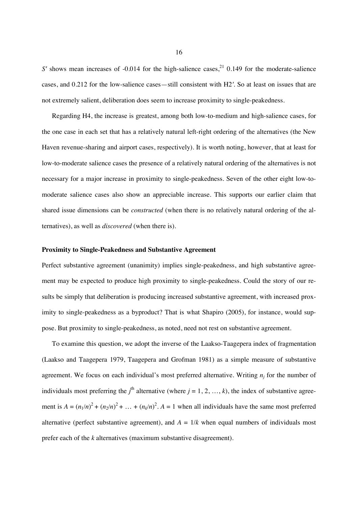*S'* shows mean increases of  $-0.014$  for the high-salience cases,<sup>21</sup> 0.149 for the moderate-salience cases, and 0.212 for the low-salience cases—still consistent with H2′. So at least on issues that are not extremely salient, deliberation does seem to increase proximity to single-peakedness.

Regarding H4, the increase is greatest, among both low-to-medium and high-salience cases, for the one case in each set that has a relatively natural left-right ordering of the alternatives (the New Haven revenue-sharing and airport cases, respectively). It is worth noting, however, that at least for low-to-moderate salience cases the presence of a relatively natural ordering of the alternatives is not necessary for a major increase in proximity to single-peakedness. Seven of the other eight low-tomoderate salience cases also show an appreciable increase. This supports our earlier claim that shared issue dimensions can be *constructed* (when there is no relatively natural ordering of the alternatives), as well as *discovered* (when there is).

## **Proximity to Single-Peakedness and Substantive Agreement**

Perfect substantive agreement (unanimity) implies single-peakedness, and high substantive agreement may be expected to produce high proximity to single-peakedness. Could the story of our results be simply that deliberation is producing increased substantive agreement, with increased proximity to single-peakedness as a byproduct? That is what Shapiro (2005), for instance, would suppose. But proximity to single-peakedness, as noted, need not rest on substantive agreement.

To examine this question, we adopt the inverse of the Laakso-Taagepera index of fragmentation (Laakso and Taagepera 1979, Taagepera and Grofman 1981) as a simple measure of substantive agreement. We focus on each individual's most preferred alternative. Writing  $n_i$  for the number of individuals most preferring the  $j^{\text{th}}$  alternative (where  $j = 1, 2, ..., k$ ), the index of substantive agreement is  $A = (n_1/n)^2 + (n_2/n)^2 + ... + (n_k/n)^2$ .  $A = 1$  when all individuals have the same most preferred alternative (perfect substantive agreement), and  $A = 1/k$  when equal numbers of individuals most prefer each of the *k* alternatives (maximum substantive disagreement).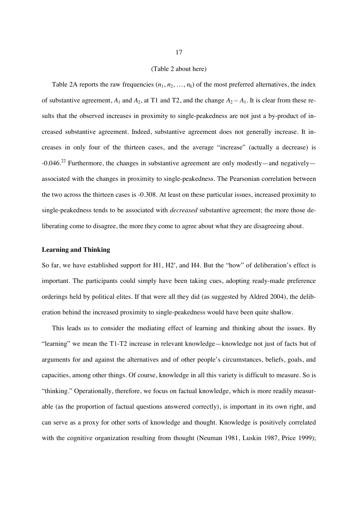## (Table 2 about here)

Table 2A reports the raw frequencies  $(n_1, n_2, ..., n_k)$  of the most preferred alternatives, the index of substantive agreement,  $A_1$  and  $A_2$ , at T1 and T2, and the change  $A_2 - A_1$ . It is clear from these results that the observed increases in proximity to single-peakedness are not just a by-product of increased substantive agreement. Indeed, substantive agreement does not generally increase. It increases in only four of the thirteen cases, and the average "increase" (actually a decrease) is  $-0.046<sup>22</sup>$  Furthermore, the changes in substantive agreement are only modestly—and negatively associated with the changes in proximity to single-peakedness. The Pearsonian correlation between the two across the thirteen cases is -0.308. At least on these particular issues, increased proximity to single-peakedness tends to be associated with *decreased* substantive agreement; the more those deliberating come to disagree, the more they come to agree about what they are disagreeing about.

#### **Learning and Thinking**

So far, we have established support for H1, H2′, and H4. But the "how" of deliberation's effect is important. The participants could simply have been taking cues, adopting ready-made preference orderings held by political elites. If that were all they did (as suggested by Aldred 2004), the deliberation behind the increased proximity to single-peakedness would have been quite shallow.

This leads us to consider the mediating effect of learning and thinking about the issues. By "learning" we mean the T1-T2 increase in relevant knowledge—knowledge not just of facts but of arguments for and against the alternatives and of other people's circumstances, beliefs, goals, and capacities, among other things. Of course, knowledge in all this variety is difficult to measure. So is "thinking." Operationally, therefore, we focus on factual knowledge, which is more readily measurable (as the proportion of factual questions answered correctly), is important in its own right, and can serve as a proxy for other sorts of knowledge and thought. Knowledge is positively correlated with the cognitive organization resulting from thought (Neuman 1981, Luskin 1987, Price 1999);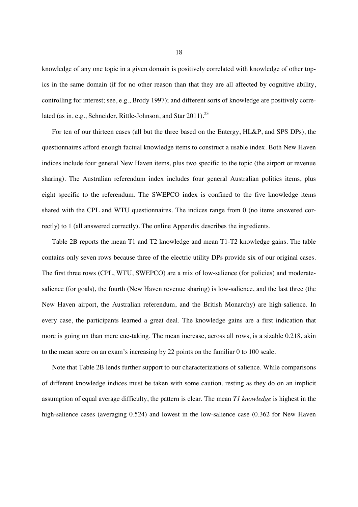knowledge of any one topic in a given domain is positively correlated with knowledge of other topics in the same domain (if for no other reason than that they are all affected by cognitive ability, controlling for interest; see, e.g., Brody 1997); and different sorts of knowledge are positively correlated (as in, e.g., Schneider, Rittle-Johnson, and Star  $2011$ ).<sup>23</sup>

For ten of our thirteen cases (all but the three based on the Entergy, HL&P, and SPS DPs), the questionnaires afford enough factual knowledge items to construct a usable index. Both New Haven indices include four general New Haven items, plus two specific to the topic (the airport or revenue sharing). The Australian referendum index includes four general Australian politics items, plus eight specific to the referendum. The SWEPCO index is confined to the five knowledge items shared with the CPL and WTU questionnaires. The indices range from 0 (no items answered correctly) to 1 (all answered correctly). The online Appendix describes the ingredients.

Table 2B reports the mean T1 and T2 knowledge and mean T1-T2 knowledge gains. The table contains only seven rows because three of the electric utility DPs provide six of our original cases. The first three rows (CPL, WTU, SWEPCO) are a mix of low-salience (for policies) and moderatesalience (for goals), the fourth (New Haven revenue sharing) is low-salience, and the last three (the New Haven airport, the Australian referendum, and the British Monarchy) are high-salience. In every case, the participants learned a great deal. The knowledge gains are a first indication that more is going on than mere cue-taking. The mean increase, across all rows, is a sizable 0.218, akin to the mean score on an exam's increasing by 22 points on the familiar 0 to 100 scale.

Note that Table 2B lends further support to our characterizations of salience. While comparisons of different knowledge indices must be taken with some caution, resting as they do on an implicit assumption of equal average difficulty, the pattern is clear. The mean *T1 knowledge* is highest in the high-salience cases (averaging 0.524) and lowest in the low-salience case (0.362 for New Haven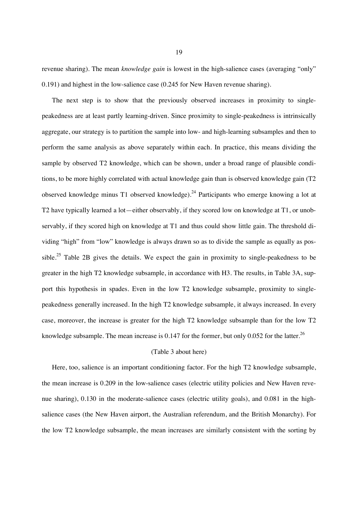revenue sharing). The mean *knowledge gain* is lowest in the high-salience cases (averaging "only" 0.191) and highest in the low-salience case (0.245 for New Haven revenue sharing).

The next step is to show that the previously observed increases in proximity to singlepeakedness are at least partly learning-driven. Since proximity to single-peakedness is intrinsically aggregate, our strategy is to partition the sample into low- and high-learning subsamples and then to perform the same analysis as above separately within each. In practice, this means dividing the sample by observed T2 knowledge, which can be shown, under a broad range of plausible conditions, to be more highly correlated with actual knowledge gain than is observed knowledge gain (T2 observed knowledge minus T1 observed knowledge).<sup>24</sup> Participants who emerge knowing a lot at T2 have typically learned a lot—either observably, if they scored low on knowledge at T1, or unobservably, if they scored high on knowledge at T1 and thus could show little gain. The threshold dividing "high" from "low" knowledge is always drawn so as to divide the sample as equally as possible.25 Table 2B gives the details. We expect the gain in proximity to single-peakedness to be greater in the high T2 knowledge subsample, in accordance with H3. The results, in Table 3A, support this hypothesis in spades. Even in the low T2 knowledge subsample, proximity to singlepeakedness generally increased. In the high T2 knowledge subsample, it always increased. In every case, moreover, the increase is greater for the high T2 knowledge subsample than for the low T2 knowledge subsample. The mean increase is 0.147 for the former, but only 0.052 for the latter.<sup>26</sup>

# (Table 3 about here)

Here, too, salience is an important conditioning factor. For the high T2 knowledge subsample, the mean increase is 0.209 in the low-salience cases (electric utility policies and New Haven revenue sharing), 0.130 in the moderate-salience cases (electric utility goals), and 0.081 in the highsalience cases (the New Haven airport, the Australian referendum, and the British Monarchy). For the low T2 knowledge subsample, the mean increases are similarly consistent with the sorting by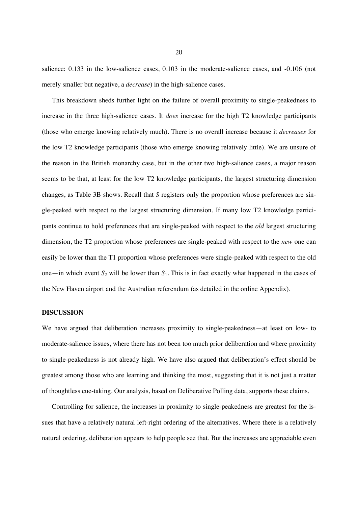salience: 0.133 in the low-salience cases, 0.103 in the moderate-salience cases, and -0.106 (not merely smaller but negative, a *decrease*) in the high-salience cases.

This breakdown sheds further light on the failure of overall proximity to single-peakedness to increase in the three high-salience cases. It *does* increase for the high T2 knowledge participants (those who emerge knowing relatively much). There is no overall increase because it *decreases* for the low T2 knowledge participants (those who emerge knowing relatively little). We are unsure of the reason in the British monarchy case, but in the other two high-salience cases, a major reason seems to be that, at least for the low T2 knowledge participants, the largest structuring dimension changes, as Table 3B shows. Recall that *S* registers only the proportion whose preferences are single-peaked with respect to the largest structuring dimension. If many low T2 knowledge participants continue to hold preferences that are single-peaked with respect to the *old* largest structuring dimension, the T2 proportion whose preferences are single-peaked with respect to the *new* one can easily be lower than the T1 proportion whose preferences were single-peaked with respect to the old one—in which event  $S_2$  will be lower than  $S_1$ . This is in fact exactly what happened in the cases of the New Haven airport and the Australian referendum (as detailed in the online Appendix).

#### **DISCUSSION**

We have argued that deliberation increases proximity to single-peakedness—at least on low- to moderate-salience issues, where there has not been too much prior deliberation and where proximity to single-peakedness is not already high. We have also argued that deliberation's effect should be greatest among those who are learning and thinking the most, suggesting that it is not just a matter of thoughtless cue-taking. Our analysis, based on Deliberative Polling data, supports these claims.

Controlling for salience, the increases in proximity to single-peakedness are greatest for the issues that have a relatively natural left-right ordering of the alternatives. Where there is a relatively natural ordering, deliberation appears to help people see that. But the increases are appreciable even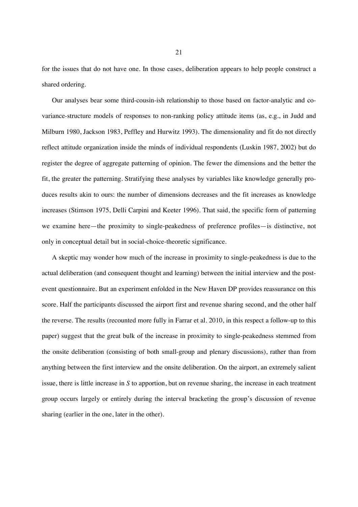for the issues that do not have one. In those cases, deliberation appears to help people construct a shared ordering.

Our analyses bear some third-cousin-ish relationship to those based on factor-analytic and covariance-structure models of responses to non-ranking policy attitude items (as, e.g., in Judd and Milburn 1980, Jackson 1983, Peffley and Hurwitz 1993). The dimensionality and fit do not directly reflect attitude organization inside the minds of individual respondents (Luskin 1987, 2002) but do register the degree of aggregate patterning of opinion. The fewer the dimensions and the better the fit, the greater the patterning. Stratifying these analyses by variables like knowledge generally produces results akin to ours: the number of dimensions decreases and the fit increases as knowledge increases (Stimson 1975, Delli Carpini and Keeter 1996). That said, the specific form of patterning we examine here—the proximity to single-peakedness of preference profiles—is distinctive, not only in conceptual detail but in social-choice-theoretic significance.

A skeptic may wonder how much of the increase in proximity to single-peakedness is due to the actual deliberation (and consequent thought and learning) between the initial interview and the postevent questionnaire. But an experiment enfolded in the New Haven DP provides reassurance on this score. Half the participants discussed the airport first and revenue sharing second, and the other half the reverse. The results (recounted more fully in Farrar et al. 2010, in this respect a follow-up to this paper) suggest that the great bulk of the increase in proximity to single-peakedness stemmed from the onsite deliberation (consisting of both small-group and plenary discussions), rather than from anything between the first interview and the onsite deliberation. On the airport, an extremely salient issue, there is little increase in *S* to apportion, but on revenue sharing, the increase in each treatment group occurs largely or entirely during the interval bracketing the group's discussion of revenue sharing (earlier in the one, later in the other).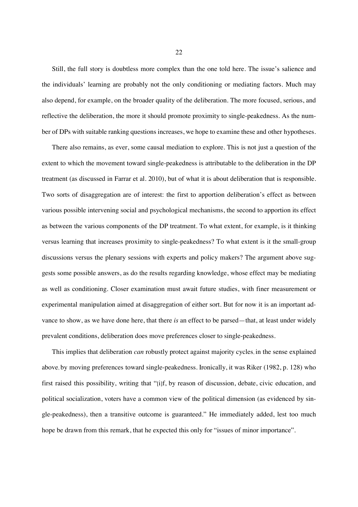Still, the full story is doubtless more complex than the one told here. The issue's salience and the individuals' learning are probably not the only conditioning or mediating factors. Much may also depend, for example, on the broader quality of the deliberation. The more focused, serious, and reflective the deliberation, the more it should promote proximity to single-peakedness. As the number of DPs with suitable ranking questions increases, we hope to examine these and other hypotheses.

There also remains, as ever, some causal mediation to explore. This is not just a question of the extent to which the movement toward single-peakedness is attributable to the deliberation in the DP treatment (as discussed in Farrar et al. 2010), but of what it is about deliberation that is responsible. Two sorts of disaggregation are of interest: the first to apportion deliberation's effect as between various possible intervening social and psychological mechanisms, the second to apportion its effect as between the various components of the DP treatment. To what extent, for example, is it thinking versus learning that increases proximity to single-peakedness? To what extent is it the small-group discussions versus the plenary sessions with experts and policy makers? The argument above suggests some possible answers, as do the results regarding knowledge, whose effect may be mediating as well as conditioning. Closer examination must await future studies, with finer measurement or experimental manipulation aimed at disaggregation of either sort. But for now it is an important advance to show, as we have done here, that there *is* an effect to be parsed—that, at least under widely prevalent conditions, deliberation does move preferences closer to single-peakedness.

This implies that deliberation *can* robustly protect against majority cycles, in the sense explained above, by moving preferences toward single-peakedness. Ironically, it was Riker (1982, p. 128) who first raised this possibility, writing that "[i]f, by reason of discussion, debate, civic education, and political socialization, voters have a common view of the political dimension (as evidenced by single-peakedness), then a transitive outcome is guaranteed." He immediately added, lest too much hope be drawn from this remark, that he expected this only for "issues of minor importance".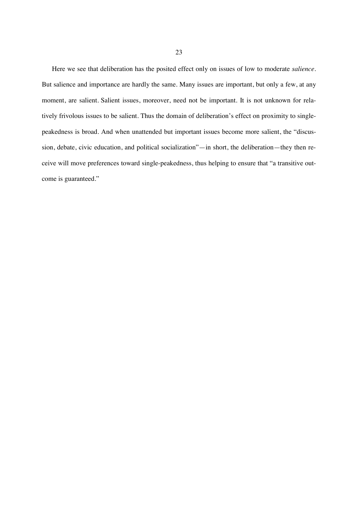Here we see that deliberation has the posited effect only on issues of low to moderate *salience*. But salience and importance are hardly the same. Many issues are important, but only a few, at any moment, are salient. Salient issues, moreover, need not be important. It is not unknown for relatively frivolous issues to be salient. Thus the domain of deliberation's effect on proximity to singlepeakedness is broad. And when unattended but important issues become more salient, the "discussion, debate, civic education, and political socialization"—in short, the deliberation—they then receive will move preferences toward single-peakedness, thus helping to ensure that "a transitive outcome is guaranteed."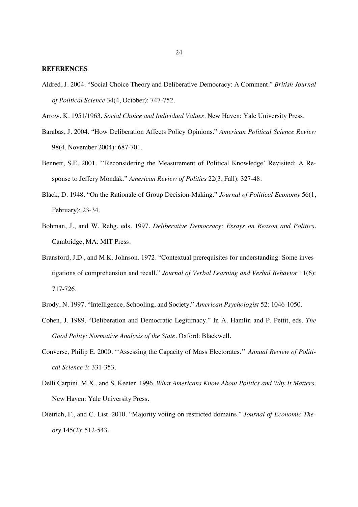## **REFERENCES**

Aldred, J. 2004. "Social Choice Theory and Deliberative Democracy: A Comment." *British Journal of Political Science* 34(4, October): 747-752.

Arrow, K. 1951/1963. *Social Choice and Individual Values*. New Haven: Yale University Press.

- Barabas, J. 2004. "How Deliberation Affects Policy Opinions." *American Political Science Review* 98(4, November 2004): 687-701.
- Bennett, S.E. 2001. "'Reconsidering the Measurement of Political Knowledge' Revisited: A Response to Jeffery Mondak." *American Review of Politics* 22(3, Fall): 327-48.
- Black, D. 1948. "On the Rationale of Group Decision-Making." *Journal of Political Economy* 56(1, February): 23-34.
- Bohman, J., and W. Rehg, eds. 1997. *Deliberative Democracy: Essays on Reason and Politics*. Cambridge, MA: MIT Press.
- Bransford, J.D., and M.K. Johnson. 1972. "Contextual prerequisites for understanding: Some investigations of comprehension and recall." *Journal of Verbal Learning and Verbal Behavior* 11(6): 717-726.
- Brody, N. 1997. "Intelligence, Schooling, and Society." *American Psychologist* 52: 1046-1050.
- Cohen, J. 1989. "Deliberation and Democratic Legitimacy." In A. Hamlin and P. Pettit, eds. *The Good Polity: Normative Analysis of the State*. Oxford: Blackwell.
- Converse, Philip E. 2000. ''Assessing the Capacity of Mass Electorates.'' *Annual Review of Political Science* 3: 331-353.
- Delli Carpini, M.X., and S. Keeter. 1996. *What Americans Know About Politics and Why It Matters*. New Haven: Yale University Press.
- Dietrich, F., and C. List. 2010. "Majority voting on restricted domains." *Journal of Economic Theory* 145(2): 512-543.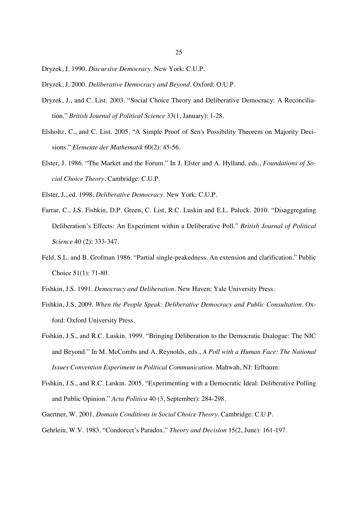Dryzek, J. 1990. *Discursive Democracy*. New York: C.U.P.

Dryzek, J. 2000. *Deliberative Democracy and Beyond*. Oxford: O.U.P.

- Dryzek, J., and C. List. 2003. "Social Choice Theory and Deliberative Democracy: A Reconciliation." *British Journal of Political Science* 33(1, January): 1-28.
- Elsholtz, C., and C. List. 2005. "A Simple Proof of Sen's Possibility Theorem on Majority Decisions." *Elemente der Mathematik* 60(2): 45-56.
- Elster, J. 1986. "The Market and the Forum." In J. Elster and A. Hylland, eds., *Foundations of Social Choice Theory*, Cambridge: C.U.P.

Elster, J., ed. 1998. *Deliberative Democracy.* New York: C.U.P.

- Farrar, C., J.S. Fishkin, D.P. Green, C. List, R.C. Luskin and E.L. Paluck. 2010. "Disaggregating Deliberation's Effects: An Experiment within a Deliberative Poll." *British Journal of Political Science* 40 (2): 333-347.
- Feld, S.L. and B. Grofman 1986. "Partial single-peakedness. An extension and clarification." Public Choice 51(1): 71-80.

Fishkin, J.S. 1991. *Democracy and Deliberation*. New Haven: Yale University Press.

- Fishkin, J.S. 2009. *When the People Speak: Deliberative Democracy and Public Consultation*. Oxford: Oxford University Press.
- Fishkin, J.S., and R.C. Luskin. 1999. "Bringing Deliberation to the Democratic Dialogue: The NIC and Beyond." In M. McCombs and A. Reynolds, eds., *A Poll with a Human Face: The National Issues Convention Experiment in Political Communication*. Mahwah, NJ: Erlbaum.
- Fishkin, J.S., and R.C. Luskin. 2005. "Experimenting with a Democratic Ideal: Deliberative Polling and Public Opinion." *Acta Politica* 40 (3, September): 284-298.

Gaertner, W. 2001. *Domain Conditions in Social Choice Theory*. Cambridge: C.U.P.

Gehrlein, W.V. 1983. "Condorcet's Paradox." *Theory and Decision* 15(2, June): 161-197.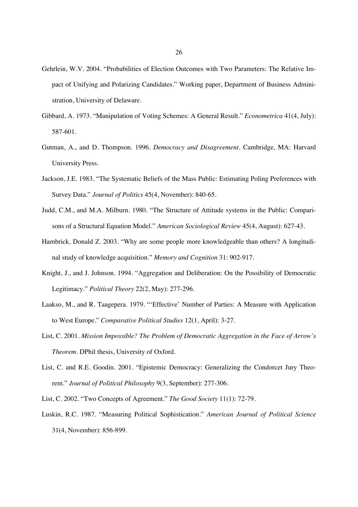- Gehrlein, W.V. 2004. "Probabilities of Election Outcomes with Two Parameters: The Relative Impact of Unifying and Polarizing Candidates." Working paper, Department of Business Administration, University of Delaware.
- Gibbard, A. 1973. "Manipulation of Voting Schemes: A General Result." *Econometrica* 41(4, July): 587-601.
- Gutman, A., and D. Thompson. 1996. *Democracy and Disagreement*. Cambridge, MA: Harvard University Press.
- Jackson, J.E. 1983. "The Systematic Beliefs of the Mass Public: Estimating Poling Preferences with Survey Data." *Journal of Politics* 45(4, November): 840-65.
- Judd, C.M., and M.A. Milburn. 1980. "The Structure of Attitude systems in the Public: Comparisons of a Structural Equation Model." *American Sociological Review* 45(4, August): 627-43.
- Hambrick*,* Donald Z. 2003*.* "Why are some people more knowledgeable than others? A longitudinal study of knowledge acquisition." *Memory and Cognition* 31: 902-917.
- Knight, J., and J. Johnson. 1994. "Aggregation and Deliberation: On the Possibility of Democratic Legitimacy." *Political Theory* 22(2, May): 277-296.
- Laakso, M., and R. Taagepera. 1979. "'Effective' Number of Parties: A Measure with Application to West Europe." *Comparative Political Studies* 12(1, April): 3-27.
- List, C. 2001. *Mission Impossible? The Problem of Democratic Aggregation in the Face of Arrow's Theorem*. DPhil thesis, University of Oxford.
- List, C. and R.E. Goodin. 2001. "Epistemic Democracy: Generalizing the Condorcet Jury Theorem." *Journal of Political Philosophy* 9(3, September): 277-306.
- List, C. 2002. "Two Concepts of Agreement." *The Good Society* 11(1): 72-79.
- Luskin, R.C. 1987. "Measuring Political Sophistication." *American Journal of Political Science* 31(4, November): 856-899.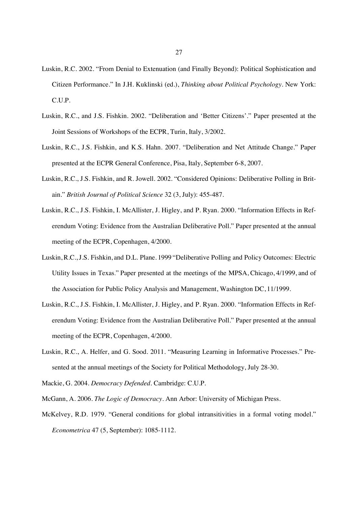- Luskin, R.C. 2002. "From Denial to Extenuation (and Finally Beyond): Political Sophistication and Citizen Performance." In J.H. Kuklinski (ed.), *Thinking about Political Psychology*. New York: C.U.P.
- Luskin, R.C., and J.S. Fishkin. 2002. "Deliberation and 'Better Citizens'." Paper presented at the Joint Sessions of Workshops of the ECPR, Turin, Italy, 3/2002.
- Luskin, R.C., J.S. Fishkin, and K.S. Hahn. 2007. "Deliberation and Net Attitude Change." Paper presented at the ECPR General Conference, Pisa, Italy, September 6-8, 2007.
- Luskin, R.C., J.S. Fishkin, and R. Jowell. 2002. "Considered Opinions: Deliberative Polling in Britain." *British Journal of Political Science* 32 (3, July): 455-487.
- Luskin, R.C., J.S. Fishkin, I. McAllister, J. Higley, and P. Ryan. 2000. "Information Effects in Referendum Voting: Evidence from the Australian Deliberative Poll." Paper presented at the annual meeting of the ECPR, Copenhagen, 4/2000.
- Luskin, R.C.,J.S. Fishkin, and D.L. Plane. 1999 "Deliberative Polling and Policy Outcomes: Electric Utility Issues in Texas." Paper presented at the meetings of the MPSA, Chicago, 4/1999, and of the Association for Public Policy Analysis and Management, Washington DC, 11/1999.
- Luskin, R.C., J.S. Fishkin, I. McAllister, J. Higley, and P. Ryan. 2000. "Information Effects in Referendum Voting: Evidence from the Australian Deliberative Poll." Paper presented at the annual meeting of the ECPR, Copenhagen, 4/2000.
- Luskin, R.C., A. Helfer, and G. Sood. 2011. "Measuring Learning in Informative Processes." Presented at the annual meetings of the Society for Political Methodology, July 28-30.
- Mackie, G. 2004. *Democracy Defended.* Cambridge: C.U.P.
- McGann, A. 2006. *The Logic of Democracy*. Ann Arbor: University of Michigan Press.
- McKelvey, R.D. 1979. "General conditions for global intransitivities in a formal voting model." *Econometrica* 47 (5, September): 1085-1112.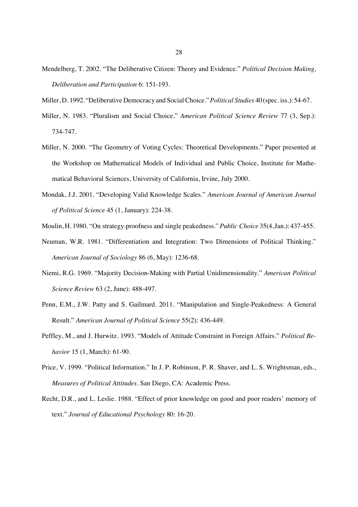- Mendelberg, T. 2002. "The Deliberative Citizen: Theory and Evidence." *Political Decision Making, Deliberation and Participation* 6: 151-193.
- Miller, D. 1992."Deliberative Democracy and Social Choice."*Political Studies* 40(spec. iss.):54-67.
- Miller, N. 1983. "Pluralism and Social Choice." *American Political Science Review* 77 (3, Sep.): 734-747.
- Miller, N. 2000. "The Geometry of Voting Cycles: Theoretical Developments." Paper presented at the Workshop on Mathematical Models of Individual and Public Choice, Institute for Mathematical Behavioral Sciences, University of California, Irvine, July 2000.
- Mondak, J.J. 2001. "Developing Valid Knowledge Scales." *American Journal of American Journal of Political Science* 45 (1, January): 224-38.
- Moulin, H. 1980. "On strategy-proofness and single peakedness." *Public Choice* 35(4,Jan.):437-455.
- Neuman, W.R. 1981. "Differentiation and Integration: Two Dimensions of Political Thinking." *American Journal of Sociology* 86 (6, May): 1236-68.
- Niemi, R.G. 1969. "Majority Decision-Making with Partial Unidimensionality." *American Political Science Review* 63 (2, June): 488-497.
- Penn, E.M., J.W. Patty and S. Gailmard. 2011. "Manipulation and Single-Peakedness: A General Result." *American Journal of Political Science* 55(2): 436-449.
- Peffley, M., and J. Hurwitz. 1993. "Models of Attitude Constraint in Foreign Affairs." *Political Behavior* 15 (1, March): 61-90.
- Price, V. 1999. "Political Information." In J. P. Robinson, P. R. Shaver, and L. S. Wrightsman, eds., *Measures of Political Attitudes*. San Diego, CA: Academic Press.
- Recht, D.R., and L. Leslie. 1988. "Effect of prior knowledge on good and poor readers' memory of text." *Journal of Educational Psychology* 80: 16-20.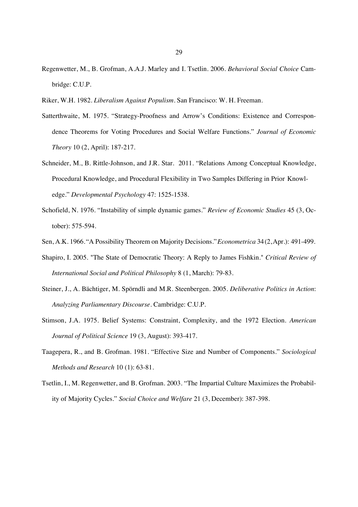- Regenwetter, M., B. Grofman, A.A.J. Marley and I. Tsetlin. 2006. *Behavioral Social Choice* Cambridge: C.U.P.
- Riker, W.H. 1982. *Liberalism Against Populism*. San Francisco: W. H. Freeman.
- Satterthwaite, M. 1975. "Strategy-Proofness and Arrow's Conditions: Existence and Correspondence Theorems for Voting Procedures and Social Welfare Functions." *Journal of Economic Theory* 10 (2, April): 187-217.
- Schneider, M., B. Rittle-Johnson, and J.R. Star. 2011. "Relations Among Conceptual Knowledge, Procedural Knowledge, and Procedural Flexibility in Two Samples Differing in Prior Knowledge." *Developmental Psychology* 47: 1525-1538.
- Schofield, N. 1976. "Instability of simple dynamic games." *Review of Economic Studies* 45 (3, October): 575-594.
- Sen, A.K. 1966."A Possibility Theorem on Majority Decisions."*Econometrica* 34(2,Apr.): 491-499.
- Shapiro, I. 2005. "The State of Democratic Theory: A Reply to James Fishkin." *Critical Review of International Social and Political Philosophy* 8 (1, March): 79-83.
- Steiner, J., A. Bächtiger, M. Spörndli and M.R. Steenbergen. 2005. *Deliberative Politics in Action*: *Analyzing Parliamentary Discourse*. Cambridge: C.U.P.
- Stimson, J.A. 1975. Belief Systems: Constraint, Complexity, and the 1972 Election. *American Journal of Political Science* 19 (3, August): 393-417.
- Taagepera, R., and B. Grofman. 1981. "Effective Size and Number of Components." *Sociological Methods and Research* 10 (1): 63-81.
- Tsetlin, I., M. Regenwetter, and B. Grofman. 2003. "The Impartial Culture Maximizes the Probability of Majority Cycles." *Social Choice and Welfare* 21 (3, December): 387-398.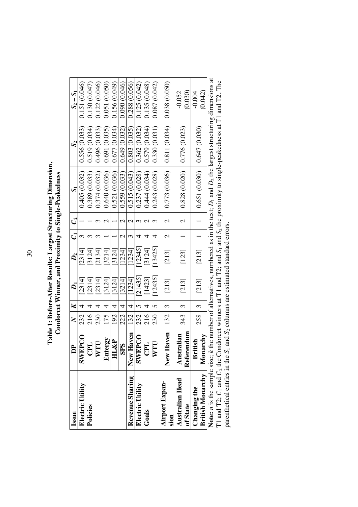| Issue                                                                                                                                    | È                        | $\begin{array}{c} N & K \end{array}$ |                | $\mathcal{D}_{\mathbf{I}}$ | $D_2$         | $C_1$                    | $\mathcal{C}_2$                             | 5                                   | $S_2$         | $S_2 - S_1$         |
|------------------------------------------------------------------------------------------------------------------------------------------|--------------------------|--------------------------------------|----------------|----------------------------|---------------|--------------------------|---------------------------------------------|-------------------------------------|---------------|---------------------|
| Electric Utility                                                                                                                         | SWEPCO                   | 232                                  | $\overline{4}$ | [2314]                     | [2314]        | $\infty$                 |                                             | 0.405 (0.032)                       | 0.556 (0.033) | 0.151 (0.046)       |
| Policies                                                                                                                                 | E<br>℧                   | 216                                  | 4              | [2314]                     | [3124]        |                          |                                             | 0.389 (0.033)                       | 0.519 (0.034) | (0.130(0.047))      |
|                                                                                                                                          | WTU                      | 230                                  | $\overline{4}$ | [2314]                     | [2134]        |                          |                                             | 0.374 (0.032)                       | 0.496(0.033)  | 0.122(0.046)        |
|                                                                                                                                          | Entergy                  | 175                                  | $\frac{4}{1}$  | [3124]                     | [3214]        |                          |                                             | 0.640(0.036)                        | 0.691(0.035)  | 0.051 (0.050)       |
|                                                                                                                                          | HL&P                     | 192                                  | $\overline{4}$ | [3124]                     | [3124]        |                          |                                             | 0.521 (0.036)                       | 0.677(0.034)  | 0.156(0.049)        |
|                                                                                                                                          | <b>SPS</b>               | 222                                  | $\overline{4}$ | [3214]                     | [1234]        | $\overline{\mathcal{C}}$ |                                             | 0.559(0.033)                        | 0.649(0.032)  | 0.090 (0.046)       |
| Revenue Sharing                                                                                                                          | Haven<br>New 1           | 132   4                              |                | [1234]                     | [1234]        | 3                        |                                             | 0.515(0.043)                        | 0.803(0.035)  | 0.288 (0.056)       |
| Electric Utility                                                                                                                         | SWEPCO                   | 232                                  | $\frac{5}{2}$  | [21435]                    | [12345]       | 4                        |                                             | 0.237(0.028)                        | 0.362(0.032)  | 0.125(0.042)        |
| Goals                                                                                                                                    | CPL                      | 216                                  | $\overline{4}$ | [1423]                     | [3124]        | 4                        | $\sim$                                      | 0.444 (0.034)                       | 0.579 (0.034) | 0.135(0.048)        |
|                                                                                                                                          | $\sum_{i=1}^{n}$         | 230                                  | $\frac{1}{5}$  | [12435]                    | [13425]       | 4                        |                                             | 0.243(0.028)                        | 0.330(0.031)  | 0.087(0.042)        |
| <b>Airport Expan-</b><br>sion                                                                                                            | Haven<br>NewI            | 132                                  | $\infty$       | [213]                      | $[213]$       | $\overline{\mathcal{C}}$ |                                             | 0.773 (0.036)                       | (0.811(0.034) | 0.038 (0.050)       |
| Australian Head<br>of State                                                                                                              | Referendum<br>Australian | 343                                  | $\mathfrak{c}$ | $[213]$                    | [123]         |                          | $\overline{\mathcal{C}}$                    | 0.828(0.020)                        | 0.776(0.023)  | (0.030)<br>$-0.052$ |
| <b>British Monarchy</b><br>Changing the                                                                                                  | Monarchy<br>British      | 258 3                                |                | $[213]$                    | $\boxed{213}$ |                          | $\begin{array}{ c c } \hline \end{array}$ 1 | $0.651(0.030)$ $\mid$ 0.647 (0.030) |               | (0.042)<br>$-0.004$ |
| Note: <i>n</i> is the sample size: k the number of alternatives numbered as in the text: D, and D, the largest structuring dimensions at |                          |                                      |                |                            |               |                          |                                             |                                     |               |                     |

Table 1: Before-After Results: Largest Structuring Dimension,<br>Condorcet Wimner, and Proximity to Single-Peakedness **Table 1: Before-After Results: Largest Structuring Dimension, Condorcet Winner, and Proximity to Single-Peakedness** 

**Note:** *n* is the sample size; *k* the number of alternatives, numbered as in the text;  $D_1$  and  $D_2$  the largest structuring dimensions at **Note:** *n* is the sample size; *k* the number of alternatives, numbered as in the text; *L*<sub>1</sub> and *L*<sub>2</sub> the largest structuring dimensions at T1 and T2; C<sub>1</sub> and C<sub>2</sub> the Condorcet winners at T1 and T2; and S<sub>1</sub> and S<sub></sub> T1 and T2; *C*1 and *C*2 the Condorcet winners at T1 and T2; and *S*1 and *S*2 the proximity to single-peakedness at T1 and T2. The parenthetical entries in the *S*<sub>1</sub> and *S*<sub>2</sub> columns are estimated standard errors.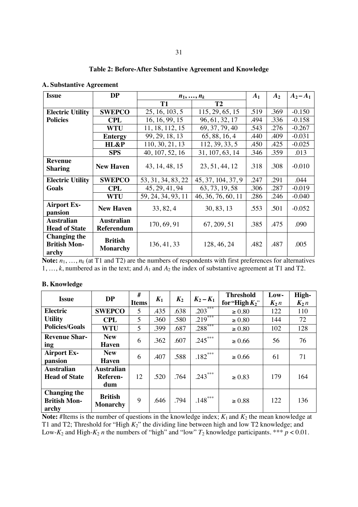# **Table 2: Before-After Substantive Agreement and Knowledge**

| <b>Issue</b>                                        | <b>DP</b>                         | $n_1, \ldots, n_k$ |                    |      | $A_2$ | $A_2 - A_1$ |
|-----------------------------------------------------|-----------------------------------|--------------------|--------------------|------|-------|-------------|
|                                                     |                                   | <b>T1</b>          | <b>T2</b>          |      |       |             |
| <b>Electric Utility</b>                             | <b>SWEPCO</b>                     | 25, 16, 103, 5     | 115, 29, 65, 15    | .519 | .369  | $-0.150$    |
| <b>Policies</b>                                     | <b>CPL</b>                        | 16, 16, 99, 15     | 96, 61, 32, 17     | .494 | .336  | $-0.158$    |
|                                                     | <b>WTU</b>                        | 11, 18, 112, 15    | 69, 37, 79, 40     | .543 | .276  | $-0.267$    |
|                                                     | <b>Entergy</b>                    | 99, 29, 18, 13     | 65, 88, 16, 4      | .440 | .409  | $-0.031$    |
|                                                     | HL&P                              | 110, 30, 21, 13    | 112, 39, 33, 5     | .450 | .425  | $-0.025$    |
|                                                     | <b>SPS</b>                        | 40, 107, 52, 16    | 31, 107, 63, 14    | .346 | .359  | .013        |
| <b>Revenue</b><br><b>Sharing</b>                    | <b>New Haven</b>                  | 43, 14, 48, 15     | 23, 51, 44, 12     | .318 | .308  | $-0.010$    |
| <b>Electric Utility</b>                             | <b>SWEPCO</b>                     | 53, 31, 34, 83, 22 | 45, 37, 104, 37, 9 | .247 | .291  | .044        |
| Goals                                               | <b>CPL</b>                        | 45, 29, 41, 94     | 63, 73, 19, 58     | .306 | .287  | $-0.019$    |
|                                                     | <b>WTU</b>                        | 59, 24, 34, 93, 11 | 46, 36, 76, 60, 11 | .286 | .246  | $-0.040$    |
| <b>Airport Ex-</b><br>pansion                       | <b>New Haven</b>                  | 33, 82, 4          | 30, 83, 13         | .553 | .501  | $-0.052$    |
| <b>Australian</b><br><b>Head of State</b>           | <b>Australian</b><br>Referendum   | 170, 69, 91        | 67, 209, 51        | .385 | .475  | .090        |
| <b>Changing the</b><br><b>British Mon-</b><br>archy | <b>British</b><br><b>Monarchy</b> | 136, 41, 33        | 128, 46, 24        | .482 | .487  | .005        |

# **A. Substantive Agreement**

**Note:**  $n_1, \ldots, n_k$  (at T1 and T2) are the numbers of respondents with first preferences for alternatives 1, ..., *k*, numbered as in the text; and  $A_1$  and  $A_2$  the index of substantive agreement at T1 and T2.

## **B. Knowledge**

| <b>Issue</b>                                        | <b>DP</b>                                   | #<br><b>Items</b> | $K_1$ | $K_2$ | $K_2 - K_1$ | <b>Threshold</b><br>for "High $K_2$ " | Low-<br>$K_2 n$ | High-<br>$K_2 n$ |
|-----------------------------------------------------|---------------------------------------------|-------------------|-------|-------|-------------|---------------------------------------|-----------------|------------------|
| <b>Electric</b>                                     | <b>SWEPCO</b>                               | 5                 | .435  | .638  | $.203***$   | $\geq 0.80$                           | 122             | 110              |
| <b>Utility</b>                                      | <b>CPL</b>                                  | 5                 | .360  | .580  | $.219***$   | $\geq 0.80$                           | 144             | 72               |
| <b>Policies/Goals</b>                               | <b>WTU</b>                                  | 5                 | .399  | .687  | $.288***$   | $\geq 0.80$                           | 102             | 128              |
| <b>Revenue Shar-</b><br>ing                         | <b>New</b><br><b>Haven</b>                  | 6                 | .362  | .607  | $.245***$   | $\geq 0.66$                           | 56              | 76               |
| <b>Airport Ex-</b><br>pansion                       | <b>New</b><br><b>Haven</b>                  | 6                 | .407  | .588  | $.182***$   | $\geq 0.66$                           | 61              | 71               |
| <b>Australian</b><br><b>Head of State</b>           | <b>Australian</b><br><b>Referen-</b><br>dum | 12                | .520  | .764  | $.243***$   | $\geq 0.83$                           | 179             | 164              |
| <b>Changing the</b><br><b>British Mon-</b><br>archy | <b>British</b><br><b>Monarchy</b>           | 9                 | .646  | .794  | $.148***$   | $\geq 0.88$                           | 122             | 136              |

**Note:** #Items is the number of questions in the knowledge index;  $K_1$  and  $K_2$  the mean knowledge at T1 and T2; Threshold for "High *K*2" the dividing line between high and low T2 knowledge; and Low- $K_2$  and High- $K_2$  *n* the numbers of "high" and "low"  $T_2$  knowledge participants. \*\*\*  $p < 0.01$ .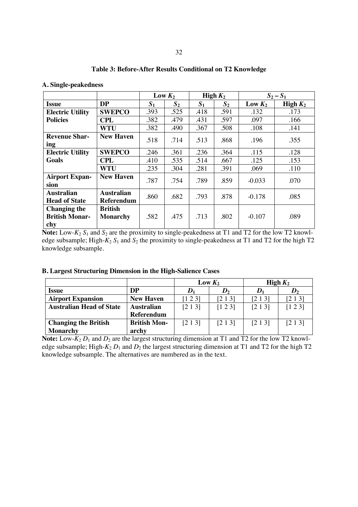# **Table 3: Before-After Results Conditional on T2 Knowledge**

|                                                     |                                        |                | Low $K_2$ | High $K_2$     |                | $S_2 - S_1$ |            |
|-----------------------------------------------------|----------------------------------------|----------------|-----------|----------------|----------------|-------------|------------|
| <b>Issue</b>                                        | <b>DP</b>                              | S <sub>1</sub> | $S_2$     | S <sub>1</sub> | S <sub>2</sub> | Low $K_2$   | High $K_2$ |
| <b>Electric Utility</b>                             | <b>SWEPCO</b>                          | .393           | .525      | .418           | .591           | .132        | .173       |
| <b>Policies</b>                                     | CPL                                    | .382           | .479      | .431           | .597           | .097        | .166       |
|                                                     | <b>WTU</b>                             | .382           | .490      | .367           | .508           | .108        | .141       |
| <b>Revenue Shar-</b><br>ing                         | <b>New Haven</b>                       | .518           | .714      | .513           | .868           | .196        | .355       |
| <b>Electric Utility</b>                             | <b>SWEPCO</b>                          | .246           | .361      | .236           | .364           | .115        | .128       |
| Goals                                               | CPL                                    | .410           | .535      | .514           | .667           | .125        | .153       |
|                                                     | WTU                                    | .235           | .304      | .281           | .391           | .069        | .110       |
| <b>Airport Expan-</b><br>sion                       | <b>New Haven</b>                       | .787           | .754      | .789           | .859           | $-0.033$    | .070       |
| <b>Australian</b><br><b>Head of State</b>           | <b>Australian</b><br><b>Referendum</b> | .860           | .682      | .793           | .878           | $-0.178$    | .085       |
| <b>Changing the</b><br><b>British Monar-</b><br>chy | <b>British</b><br><b>Monarchy</b>      | .582           | .475      | .713           | .802           | $-0.107$    | .089       |

# **A. Single-peakedness**

**Note:** Low- $K_2$   $S_1$  and  $S_2$  are the proximity to single-peakedness at T1 and T2 for the low T2 knowledge subsample; High- $K_2$   $S_1$  and  $S_2$  the proximity to single-peakedness at T1 and T2 for the high T2 knowledge subsample.

|                                 |                     |             | Low $K_2$  | High $K_2$ |            |  |
|---------------------------------|---------------------|-------------|------------|------------|------------|--|
| <b>Issue</b>                    | DР                  |             | $\bm{D}_2$ | $\bm{D}_1$ | $\bm{D_2}$ |  |
| <b>Airport Expansion</b>        | <b>New Haven</b>    | $[1\,2\,3]$ | [2 1 3]    | [2 1 3]    | [2 1 3]    |  |
| <b>Australian Head of State</b> | <b>Australian</b>   | [2 1 3]     | [1 2 3]    | [2 1 3]    | [1 2 3]    |  |
|                                 | Referendum          |             |            |            |            |  |
| <b>Changing the British</b>     | <b>British Mon-</b> | [2 1 3]     | [213]      | [213]      | [2 1 3]    |  |
| Monarchy                        | archy               |             |            |            |            |  |

# **B. Largest Structuring Dimension in the High-Salience Cases**

**Note:** Low- $K_2 D_1$  and  $D_2$  are the largest structuring dimension at T1 and T2 for the low T2 knowledge subsample; High- $K_2 D_1$  and  $D_2$  the largest structuring dimension at T1 and T2 for the high T2 knowledge subsample. The alternatives are numbered as in the text.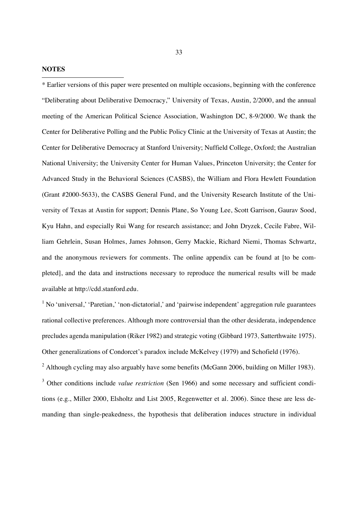## **NOTES**

-

\* Earlier versions of this paper were presented on multiple occasions, beginning with the conference "Deliberating about Deliberative Democracy," University of Texas, Austin, 2/2000, and the annual meeting of the American Political Science Association, Washington DC, 8-9/2000. We thank the Center for Deliberative Polling and the Public Policy Clinic at the University of Texas at Austin; the Center for Deliberative Democracy at Stanford University; Nuffield College, Oxford; the Australian National University; the University Center for Human Values, Princeton University; the Center for Advanced Study in the Behavioral Sciences (CASBS), the William and Flora Hewlett Foundation (Grant #2000-5633), the CASBS General Fund, and the University Research Institute of the University of Texas at Austin for support; Dennis Plane, So Young Lee, Scott Garrison, Gaurav Sood, Kyu Hahn, and especially Rui Wang for research assistance; and John Dryzek, Cecile Fabre, William Gehrlein, Susan Holmes, James Johnson, Gerry Mackie, Richard Niemi, Thomas Schwartz, and the anonymous reviewers for comments. The online appendix can be found at [to be completed], and the data and instructions necessary to reproduce the numerical results will be made available at http://cdd.stanford.edu.

<sup>1</sup> No 'universal,' 'Paretian,' 'non-dictatorial,' and 'pairwise independent' aggregation rule guarantees rational collective preferences. Although more controversial than the other desiderata, independence precludes agenda manipulation (Riker 1982) and strategic voting (Gibbard 1973, Satterthwaite 1975). Other generalizations of Condorcet's paradox include McKelvey (1979) and Schofield (1976).

<sup>2</sup> Although cycling may also arguably have some benefits (McGann 2006, building on Miller 1983). <sup>3</sup> Other conditions include *value restriction* (Sen 1966) and some necessary and sufficient conditions (e.g., Miller 2000, Elsholtz and List 2005, Regenwetter et al. 2006). Since these are less demanding than single-peakedness, the hypothesis that deliberation induces structure in individual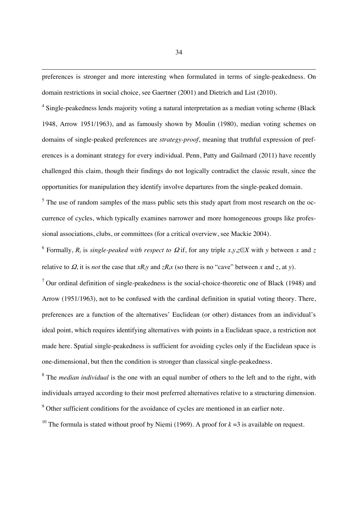preferences is stronger and more interesting when formulated in terms of single-peakedness. On domain restrictions in social choice, see Gaertner (2001) and Dietrich and List (2010).

1

<sup>4</sup> Single-peakedness lends majority voting a natural interpretation as a median voting scheme (Black 1948, Arrow 1951/1963), and as famously shown by Moulin (1980), median voting schemes on domains of single-peaked preferences are *strategy-proof*, meaning that truthful expression of preferences is a dominant strategy for every individual. Penn, Patty and Gailmard (2011) have recently challenged this claim, though their findings do not logically contradict the classic result, since the opportunities for manipulation they identify involve departures from the single-peaked domain.

 $<sup>5</sup>$  The use of random samples of the mass public sets this study apart from most research on the oc-</sup> currence of cycles, which typically examines narrower and more homogeneous groups like professional associations, clubs, or committees (for a critical overview, see Mackie 2004).

6 Formally, *Ri* is *single-peaked with respect to* <sup>Ω</sup> if, for any triple *x*,*y*,*z*∈*X* with *y* between *x* and *z* relative to  $\Omega$ , it is *not* the case that  $xR_iy$  and  $zR_ix$  (so there is no "cave" between x and z, at y).

 $<sup>7</sup>$  Our ordinal definition of single-peakedness is the social-choice-theoretic one of Black (1948) and</sup> Arrow (1951/1963), not to be confused with the cardinal definition in spatial voting theory. There, preferences are a function of the alternatives' Euclidean (or other) distances from an individual's ideal point, which requires identifying alternatives with points in a Euclidean space, a restriction not made here. Spatial single-peakedness is sufficient for avoiding cycles only if the Euclidean space is one-dimensional, but then the condition is stronger than classical single-peakedness.

8 The *median individual* is the one with an equal number of others to the left and to the right, with individuals arrayed according to their most preferred alternatives relative to a structuring dimension.  $9$  Other sufficient conditions for the avoidance of cycles are mentioned in an earlier note.

<sup>10</sup> The formula is stated without proof by Niemi (1969). A proof for  $k = 3$  is available on request.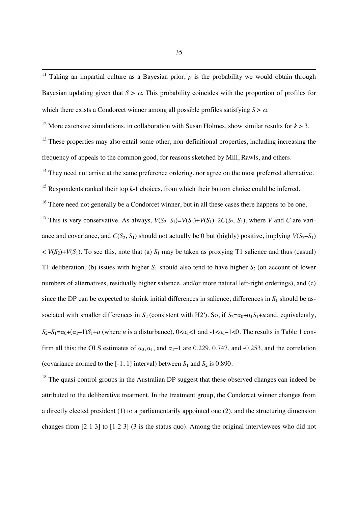<sup>11</sup> Taking an impartial culture as a Bayesian prior,  $p$  is the probability we would obtain through Bayesian updating given that  $S > \alpha$ . This probability coincides with the proportion of profiles for which there exists a Condorcet winner among all possible profiles satisfying  $S > \alpha$ .

<sup>12</sup> More extensive simulations, in collaboration with Susan Holmes, show similar results for  $k > 3$ .

 $13$  These properties may also entail some other, non-definitional properties, including increasing the frequency of appeals to the common good, for reasons sketched by Mill, Rawls, and others.

<sup>14</sup> They need not arrive at the same preference ordering, nor agree on the most preferred alternative.

<sup>15</sup> Respondents ranked their top *k*-1 choices, from which their bottom choice could be inferred.

<sup>16</sup> There need not generally be a Condorcet winner, but in all these cases there happens to be one.

<sup>17</sup> This is very conservative. As always,  $V(S_2-S_1)=V(S_2)+V(S_1)-2C(S_2, S_1)$ , where *V* and *C* are variance and covariance, and  $C(S_2, S_1)$  should not actually be 0 but (highly) positive, implying  $V(S_2-S_1)$  $V(S_2)+V(S_1)$ . To see this, note that (a)  $S_1$  may be taken as proxying T1 salience and thus (casual) T1 deliberation, (b) issues with higher  $S_1$  should also tend to have higher  $S_2$  (on account of lower numbers of alternatives, residually higher salience, and/or more natural left-right orderings), and (c) since the DP can be expected to shrink initial differences in salience, differences in *S*1 should be associated with smaller differences in  $S_2$  (consistent with H2′). So, if  $S_2 = \alpha_0 + \alpha_1 S_1 + u$  and, equivalently,  $S_2-S_1=\alpha_0+(\alpha_1-1)S_1+u$  (where *u* is a disturbance),  $0<\alpha_1<1$  and  $-1<\alpha_1-1<0$ . The results in Table 1 confirm all this: the OLS estimates of  $\alpha_0, \alpha_1$ , and  $\alpha_1$ –1 are 0.229, 0.747, and -0.253, and the correlation (covariance normed to the  $[-1, 1]$  interval) between  $S_1$  and  $S_2$  is 0.890.

<sup>18</sup> The quasi-control groups in the Australian DP suggest that these observed changes can indeed be attributed to the deliberative treatment. In the treatment group, the Condorcet winner changes from a directly elected president (1) to a parliamentarily appointed one (2), and the structuring dimension changes from [2 1 3] to [1 2 3] (3 is the status quo). Among the original interviewees who did not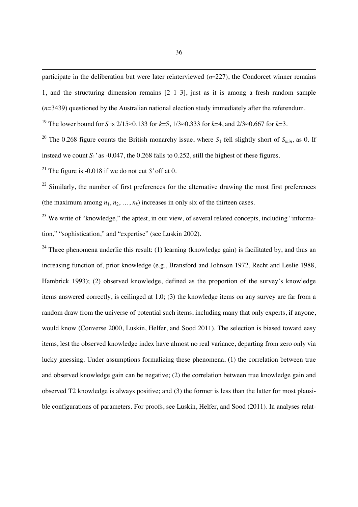participate in the deliberation but were later reinterviewed (*n*=227), the Condorcet winner remains 1, and the structuring dimension remains [2 1 3], just as it is among a fresh random sample (*n*=3439) questioned by the Australian national election study immediately after the referendum.

19 The lower bound for *S* is 2/15≈0.133 for *k*=5, 1/3≈0.333 for *k*=4, and 2/3≈0.667 for *k*=3.

<sup>20</sup> The 0.268 figure counts the British monarchy issue, where  $S_1$  fell slightly short of  $S_{min}$ , as 0. If instead we count *S*1′ as -0.047, the 0.268 falls to 0.252, still the highest of these figures.

<sup>21</sup> The figure is -0.018 if we do not cut  $S'$  off at 0.

1

 $^{22}$  Similarly, the number of first preferences for the alternative drawing the most first preferences (the maximum among  $n_1, n_2, ..., n_k$ ) increases in only six of the thirteen cases.

 $^{23}$  We write of "knowledge," the aptest, in our view, of several related concepts, including "information," "sophistication," and "expertise" (see Luskin 2002).

<sup>24</sup> Three phenomena underlie this result: (1) learning (knowledge gain) is facilitated by, and thus an increasing function of, prior knowledge (e.g., Bransford and Johnson 1972, Recht and Leslie 1988, Hambrick 1993); (2) observed knowledge, defined as the proportion of the survey's knowledge items answered correctly, is ceilinged at 1.0; (3) the knowledge items on any survey are far from a random draw from the universe of potential such items, including many that only experts, if anyone, would know (Converse 2000, Luskin, Helfer, and Sood 2011). The selection is biased toward easy items, lest the observed knowledge index have almost no real variance, departing from zero only via lucky guessing. Under assumptions formalizing these phenomena, (1) the correlation between true and observed knowledge gain can be negative; (2) the correlation between true knowledge gain and observed T2 knowledge is always positive; and (3) the former is less than the latter for most plausible configurations of parameters. For proofs, see Luskin, Helfer, and Sood (2011). In analyses relat-